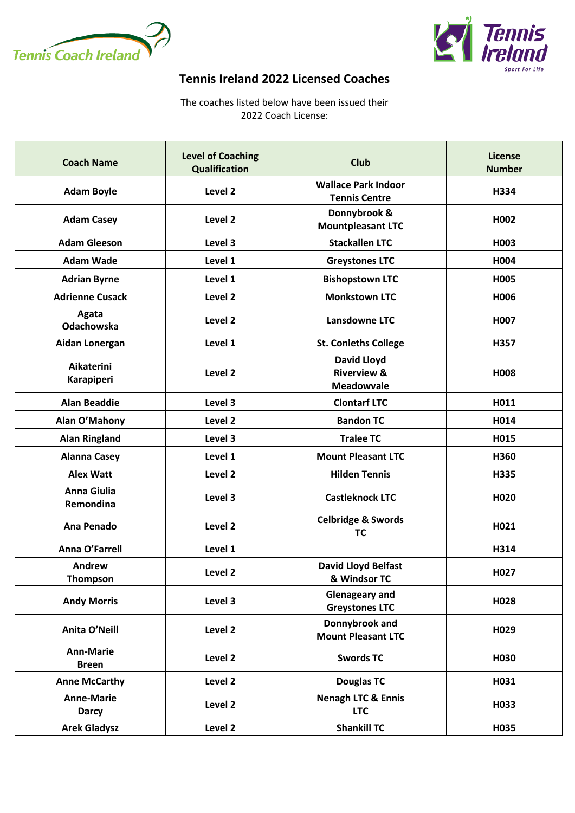



## **Tennis Ireland 2022 Licensed Coaches**

The coaches listed below have been issued their 2022 Coach License:

| <b>Coach Name</b>                 | <b>Level of Coaching</b><br><b>Qualification</b> | <b>Club</b>                                                       | <b>License</b><br><b>Number</b> |
|-----------------------------------|--------------------------------------------------|-------------------------------------------------------------------|---------------------------------|
| <b>Adam Boyle</b>                 | Level 2                                          | <b>Wallace Park Indoor</b><br><b>Tennis Centre</b>                | H334                            |
| <b>Adam Casey</b>                 | Level 2                                          | Donnybrook &<br><b>Mountpleasant LTC</b>                          | H002                            |
| <b>Adam Gleeson</b>               | Level 3                                          | <b>Stackallen LTC</b>                                             | H003                            |
| <b>Adam Wade</b>                  | Level 1                                          | <b>Greystones LTC</b>                                             | H004                            |
| <b>Adrian Byrne</b>               | Level 1                                          | <b>Bishopstown LTC</b>                                            | H005                            |
| <b>Adrienne Cusack</b>            | Level 2                                          | <b>Monkstown LTC</b>                                              | H006                            |
| Agata<br><b>Odachowska</b>        | Level 2                                          | Lansdowne LTC                                                     | H <sub>0</sub> 07               |
| Aidan Lonergan                    | Level 1                                          | <b>St. Conleths College</b>                                       | H357                            |
| Aikaterini<br>Karapiperi          | Level <sub>2</sub>                               | <b>David Lloyd</b><br><b>Riverview &amp;</b><br><b>Meadowvale</b> | H008                            |
| <b>Alan Beaddie</b>               | Level 3                                          | <b>Clontarf LTC</b>                                               | H011                            |
| Alan O'Mahony                     | Level 2                                          | <b>Bandon TC</b>                                                  | H014                            |
| <b>Alan Ringland</b>              | Level 3                                          | <b>Tralee TC</b>                                                  | H015                            |
| <b>Alanna Casey</b>               | Level 1                                          | <b>Mount Pleasant LTC</b>                                         | H360                            |
| <b>Alex Watt</b>                  | Level <sub>2</sub>                               | <b>Hilden Tennis</b>                                              | H335                            |
| <b>Anna Giulia</b><br>Remondina   | Level 3                                          | <b>Castleknock LTC</b>                                            | H <sub>020</sub>                |
| Ana Penado                        | Level <sub>2</sub>                               | <b>Celbridge &amp; Swords</b><br><b>TC</b>                        | H021                            |
| Anna O'Farrell                    | Level 1                                          |                                                                   | H314                            |
| Andrew<br>Thompson                | Level <sub>2</sub>                               | <b>David Lloyd Belfast</b><br>& Windsor TC                        | H027                            |
| <b>Andy Morris</b>                | Level 3                                          | <b>Glenageary and</b><br><b>Greystones LTC</b>                    | H028                            |
| Anita O'Neill                     | Level 2                                          | Donnybrook and<br><b>Mount Pleasant LTC</b>                       | H029                            |
| <b>Ann-Marie</b><br><b>Breen</b>  | Level 2                                          | <b>Swords TC</b>                                                  | H030                            |
| <b>Anne McCarthy</b>              | Level <sub>2</sub>                               | <b>Douglas TC</b>                                                 | H031                            |
| <b>Anne-Marie</b><br><b>Darcy</b> | Level 2                                          | <b>Nenagh LTC &amp; Ennis</b><br><b>LTC</b>                       | H033                            |
| <b>Arek Gladysz</b>               | Level <sub>2</sub>                               | <b>Shankill TC</b>                                                | H035                            |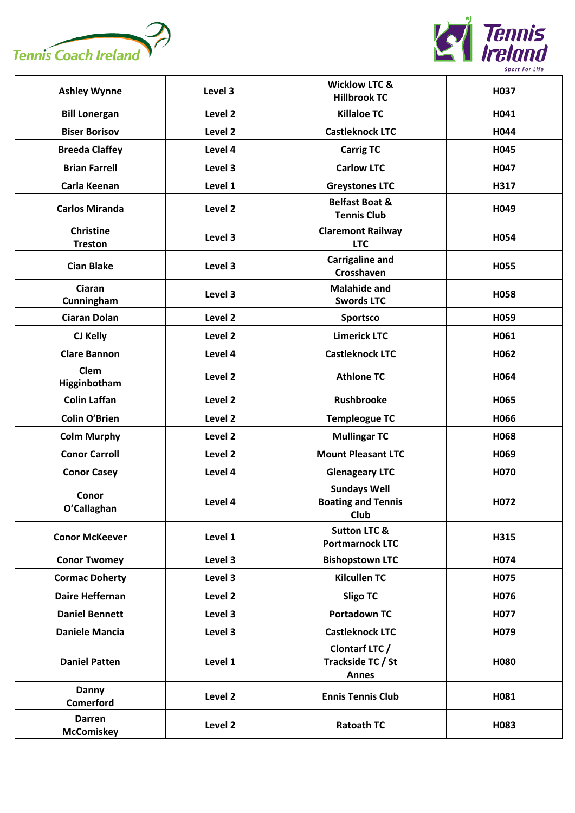



| <b>Ashley Wynne</b>                | Level 3            | <b>Wicklow LTC &amp;</b><br><b>Hillbrook TC</b>          | H037 |
|------------------------------------|--------------------|----------------------------------------------------------|------|
| <b>Bill Lonergan</b>               | Level 2            | <b>Killaloe TC</b>                                       | H041 |
| <b>Biser Borisov</b>               | Level 2            | <b>Castleknock LTC</b>                                   | H044 |
| <b>Breeda Claffey</b>              | Level 4            | <b>Carrig TC</b>                                         | H045 |
| <b>Brian Farrell</b>               | Level 3            | <b>Carlow LTC</b>                                        | H047 |
| Carla Keenan                       | Level 1            | <b>Greystones LTC</b>                                    | H317 |
| <b>Carlos Miranda</b>              | Level 2            | <b>Belfast Boat &amp;</b><br><b>Tennis Club</b>          | H049 |
| <b>Christine</b><br><b>Treston</b> | Level 3            | <b>Claremont Railway</b><br><b>LTC</b>                   | H054 |
| <b>Cian Blake</b>                  | Level 3            | <b>Carrigaline and</b><br>Crosshaven                     | H055 |
| <b>Ciaran</b><br>Cunningham        | Level 3            | <b>Malahide and</b><br><b>Swords LTC</b>                 | H058 |
| <b>Ciaran Dolan</b>                | Level 2            | <b>Sportsco</b>                                          | H059 |
| CJ Kelly                           | Level 2            | <b>Limerick LTC</b>                                      | H061 |
| <b>Clare Bannon</b>                | Level 4            | <b>Castleknock LTC</b>                                   | H062 |
| Clem<br>Higginbotham               | Level 2            | <b>Athlone TC</b>                                        | H064 |
| <b>Colin Laffan</b>                | Level 2            | <b>Rushbrooke</b>                                        | H065 |
| <b>Colin O'Brien</b>               | Level <sub>2</sub> | <b>Templeogue TC</b>                                     | H066 |
| <b>Colm Murphy</b>                 | Level 2            | <b>Mullingar TC</b>                                      | H068 |
| <b>Conor Carroll</b>               | Level 2            | <b>Mount Pleasant LTC</b>                                | H069 |
| <b>Conor Casey</b>                 | Level 4            | <b>Glenageary LTC</b>                                    | H070 |
| Conor<br>O'Callaghan               | Level 4            | <b>Sundays Well</b><br><b>Boating and Tennis</b><br>Club | H072 |
| <b>Conor McKeever</b>              | Level 1            | <b>Sutton LTC &amp;</b><br><b>Portmarnock LTC</b>        | H315 |
| <b>Conor Twomey</b>                | Level 3            | <b>Bishopstown LTC</b>                                   | H074 |
| <b>Cormac Doherty</b>              | Level 3            | <b>Kilcullen TC</b>                                      | H075 |
| Daire Heffernan                    | Level 2            | <b>Sligo TC</b>                                          | H076 |
| <b>Daniel Bennett</b>              | Level 3            | <b>Portadown TC</b>                                      | H077 |
| <b>Daniele Mancia</b>              | Level 3            | <b>Castleknock LTC</b>                                   | H079 |
| <b>Daniel Patten</b>               | Level 1            | Clontarf LTC /<br>Trackside TC / St<br><b>Annes</b>      | H080 |
| <b>Danny</b><br>Comerford          | Level 2            | <b>Ennis Tennis Club</b>                                 | H081 |
| <b>Darren</b><br><b>McComiskey</b> | Level 2            | <b>Ratoath TC</b>                                        | H083 |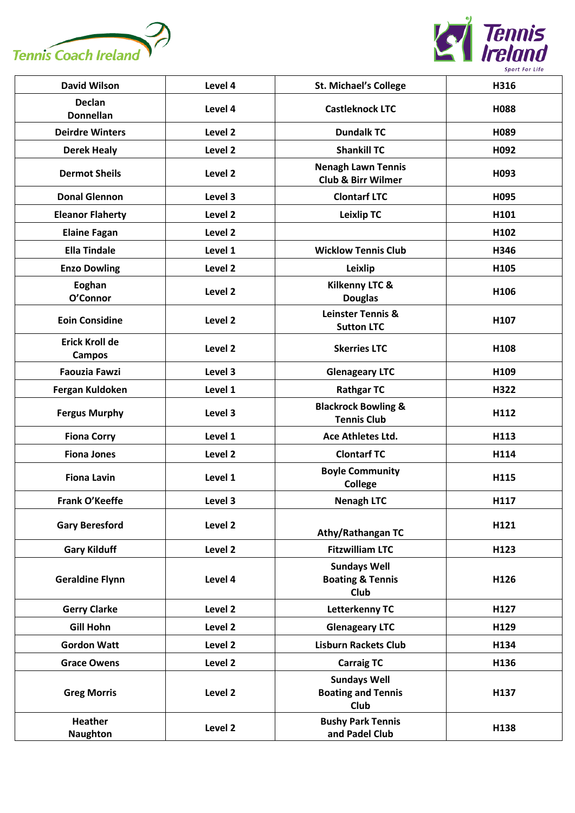



| <b>David Wilson</b>                    | Level 4            | <b>St. Michael's College</b>                               | H316 |
|----------------------------------------|--------------------|------------------------------------------------------------|------|
| <b>Declan</b><br><b>Donnellan</b>      | Level 4            | <b>Castleknock LTC</b>                                     | H088 |
| <b>Deirdre Winters</b>                 | Level 2            | <b>Dundalk TC</b>                                          | H089 |
| <b>Derek Healy</b>                     | Level 2            | <b>Shankill TC</b>                                         | H092 |
| <b>Dermot Sheils</b>                   | Level 2            | <b>Nenagh Lawn Tennis</b><br><b>Club &amp; Birr Wilmer</b> | H093 |
| <b>Donal Glennon</b>                   | Level 3            | <b>Clontarf LTC</b>                                        | H095 |
| <b>Eleanor Flaherty</b>                | Level 2            | <b>Leixlip TC</b>                                          | H101 |
| <b>Elaine Fagan</b>                    | Level 2            |                                                            | H102 |
| <b>Ella Tindale</b>                    | Level 1            | <b>Wicklow Tennis Club</b>                                 | H346 |
| <b>Enzo Dowling</b>                    | Level 2            | Leixlip                                                    | H105 |
| Eoghan<br>O'Connor                     | Level <sub>2</sub> | <b>Kilkenny LTC &amp;</b><br><b>Douglas</b>                | H106 |
| <b>Eoin Considine</b>                  | Level 2            | Leinster Tennis &<br><b>Sutton LTC</b>                     | H107 |
| <b>Erick Kroll de</b><br><b>Campos</b> | Level 2            | <b>Skerries LTC</b>                                        | H108 |
| <b>Faouzia Fawzi</b>                   | Level 3            | <b>Glenageary LTC</b>                                      | H109 |
| Fergan Kuldoken                        | Level 1            | <b>Rathgar TC</b>                                          | H322 |
| <b>Fergus Murphy</b>                   | Level 3            | <b>Blackrock Bowling &amp;</b><br><b>Tennis Club</b>       | H112 |
| <b>Fiona Corry</b>                     | Level 1            | Ace Athletes Ltd.                                          | H113 |
| <b>Fiona Jones</b>                     | Level 2            | <b>Clontarf TC</b>                                         | H114 |
| <b>Fiona Lavin</b>                     | Level 1            | <b>Boyle Community</b><br><b>College</b>                   | H115 |
| Frank O'Keeffe                         | Level 3            | <b>Nenagh LTC</b>                                          | H117 |
| <b>Gary Beresford</b>                  | Level 2            | <b>Athy/Rathangan TC</b>                                   | H121 |
| <b>Gary Kilduff</b>                    | Level 2            | <b>Fitzwilliam LTC</b>                                     | H123 |
| <b>Geraldine Flynn</b>                 | Level 4            | <b>Sundays Well</b><br><b>Boating &amp; Tennis</b><br>Club | H126 |
| <b>Gerry Clarke</b>                    | Level 2            | <b>Letterkenny TC</b>                                      | H127 |
| <b>Gill Hohn</b>                       | Level 2            | <b>Glenageary LTC</b>                                      | H129 |
| <b>Gordon Watt</b>                     | Level 2            | <b>Lisburn Rackets Club</b>                                | H134 |
| <b>Grace Owens</b>                     | Level 2            | <b>Carraig TC</b>                                          | H136 |
| <b>Greg Morris</b>                     | Level 2            | <b>Sundays Well</b><br><b>Boating and Tennis</b><br>Club   | H137 |
| <b>Heather</b><br><b>Naughton</b>      | Level 2            | <b>Bushy Park Tennis</b><br>and Padel Club                 | H138 |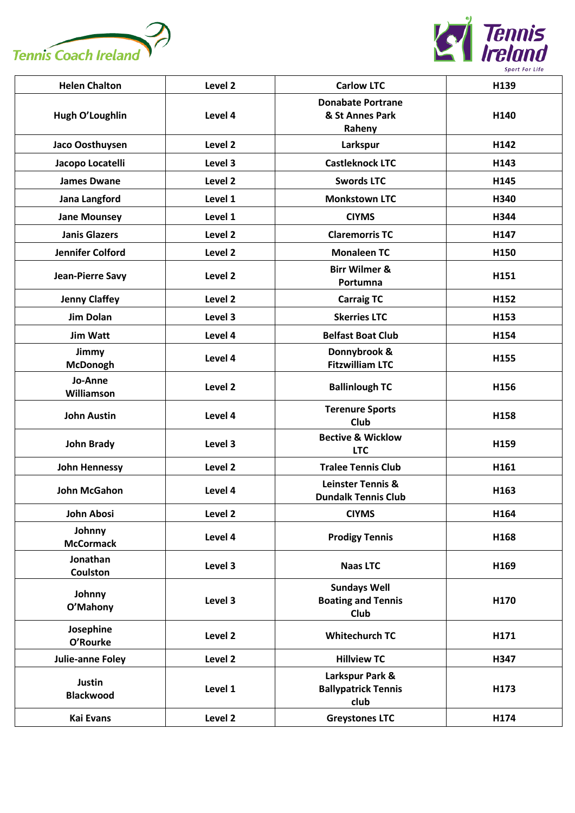



| <b>Helen Chalton</b>        | Level 2            | <b>Carlow LTC</b>                                          | H139             |
|-----------------------------|--------------------|------------------------------------------------------------|------------------|
| Hugh O'Loughlin             | Level 4            | <b>Donabate Portrane</b><br>& St Annes Park<br>Raheny      | H140             |
| Jaco Oosthuysen             | Level 2            | Larkspur                                                   | H142             |
| Jacopo Locatelli            | Level 3            | <b>Castleknock LTC</b>                                     | H143             |
| <b>James Dwane</b>          | Level 2            | <b>Swords LTC</b>                                          | H145             |
| Jana Langford               | Level 1            | <b>Monkstown LTC</b>                                       | H340             |
| <b>Jane Mounsey</b>         | Level 1            | <b>CIYMS</b>                                               | H344             |
| <b>Janis Glazers</b>        | Level 2            | <b>Claremorris TC</b>                                      | H147             |
| <b>Jennifer Colford</b>     | Level 2            | <b>Monaleen TC</b>                                         | H150             |
| <b>Jean-Pierre Savy</b>     | Level 2            | <b>Birr Wilmer &amp;</b><br>Portumna                       | H151             |
| <b>Jenny Claffey</b>        | Level 2            | <b>Carraig TC</b>                                          | H152             |
| <b>Jim Dolan</b>            | Level 3            | <b>Skerries LTC</b>                                        | H153             |
| <b>Jim Watt</b>             | Level 4            | <b>Belfast Boat Club</b>                                   | H154             |
| Jimmy<br><b>McDonogh</b>    | Level 4            | Donnybrook &<br><b>Fitzwilliam LTC</b>                     | H155             |
| Jo-Anne<br>Williamson       | Level <sub>2</sub> | <b>Ballinlough TC</b>                                      | H156             |
| <b>John Austin</b>          | Level 4            | <b>Terenure Sports</b><br><b>Club</b>                      | H158             |
| <b>John Brady</b>           | Level 3            | <b>Bective &amp; Wicklow</b><br><b>LTC</b>                 | H159             |
| <b>John Hennessy</b>        | Level 2            | <b>Tralee Tennis Club</b>                                  | H161             |
| <b>John McGahon</b>         | Level 4            | <b>Leinster Tennis &amp;</b><br><b>Dundalk Tennis Club</b> | H163             |
| John Abosi                  | Level 2            | <b>CIYMS</b>                                               | H <sub>164</sub> |
| Johnny<br><b>McCormack</b>  | Level 4            | <b>Prodigy Tennis</b>                                      | H168             |
| Jonathan<br><b>Coulston</b> | Level 3            | <b>Naas LTC</b>                                            | H169             |
| Johnny<br>O'Mahony          | Level 3            | <b>Sundays Well</b><br><b>Boating and Tennis</b><br>Club   | H170             |
| Josephine<br>O'Rourke       | Level 2            | <b>Whitechurch TC</b>                                      | H171             |
| Julie-anne Foley            | Level 2            | <b>Hillview TC</b>                                         | H347             |
| Justin<br><b>Blackwood</b>  | Level 1            | Larkspur Park &<br><b>Ballypatrick Tennis</b><br>club      | H173             |
| <b>Kai Evans</b>            | Level 2            | <b>Greystones LTC</b>                                      | H174             |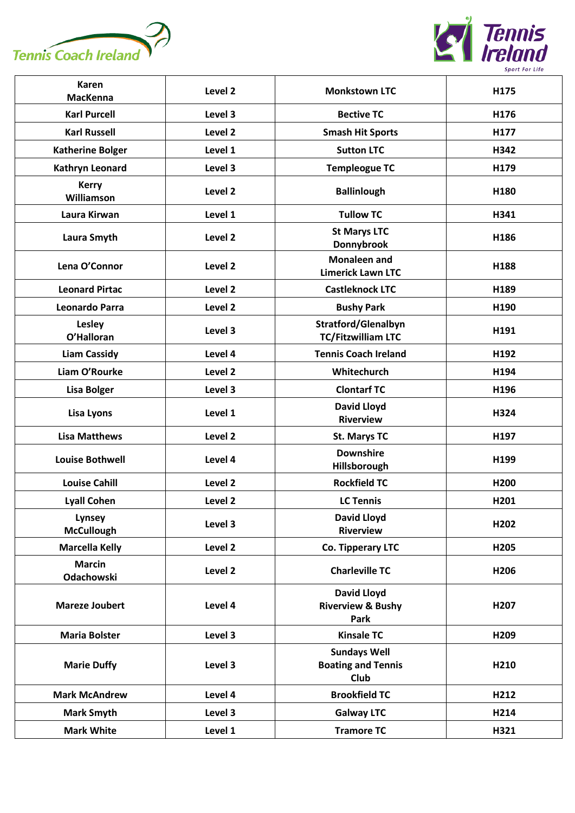



| <b>Karen</b><br><b>MacKenna</b> | Level <sub>2</sub> | <b>Monkstown LTC</b>                                       | H175 |
|---------------------------------|--------------------|------------------------------------------------------------|------|
| <b>Karl Purcell</b>             | Level 3            | <b>Bective TC</b>                                          | H176 |
| <b>Karl Russell</b>             | Level 2            | <b>Smash Hit Sports</b>                                    | H177 |
| <b>Katherine Bolger</b>         | Level 1            | <b>Sutton LTC</b>                                          | H342 |
| Kathryn Leonard                 | Level 3            | <b>Templeogue TC</b>                                       | H179 |
| <b>Kerry</b><br>Williamson      | Level <sub>2</sub> | <b>Ballinlough</b>                                         | H180 |
| Laura Kirwan                    | Level 1            | <b>Tullow TC</b>                                           | H341 |
| Laura Smyth                     | Level <sub>2</sub> | <b>St Marys LTC</b><br>Donnybrook                          | H186 |
| Lena O'Connor                   | Level 2            | <b>Monaleen and</b><br><b>Limerick Lawn LTC</b>            | H188 |
| <b>Leonard Pirtac</b>           | Level 2            | <b>Castleknock LTC</b>                                     | H189 |
| Leonardo Parra                  | Level 2            | <b>Bushy Park</b>                                          | H190 |
| Lesley<br>O'Halloran            | Level 3            | <b>Stratford/Glenalbyn</b><br><b>TC/Fitzwilliam LTC</b>    | H191 |
| <b>Liam Cassidy</b>             | Level 4            | <b>Tennis Coach Ireland</b>                                | H192 |
| Liam O'Rourke                   | Level 2            | Whitechurch                                                | H194 |
| <b>Lisa Bolger</b>              | Level 3            | <b>Clontarf TC</b>                                         | H196 |
| Lisa Lyons                      | Level 1            | <b>David Lloyd</b><br><b>Riverview</b>                     | H324 |
| <b>Lisa Matthews</b>            | Level 2            | <b>St. Marys TC</b>                                        | H197 |
| <b>Louise Bothwell</b>          | Level 4            | <b>Downshire</b><br>Hillsborough                           | H199 |
| <b>Louise Cahill</b>            | Level 2            | <b>Rockfield TC</b>                                        | H200 |
| <b>Lyall Cohen</b>              | Level 2            | <b>LC Tennis</b>                                           | H201 |
| Lynsey<br><b>McCullough</b>     | Level 3            | <b>David Lloyd</b><br><b>Riverview</b>                     | H202 |
| <b>Marcella Kelly</b>           | Level 2            | Co. Tipperary LTC                                          | H205 |
| <b>Marcin</b><br>Odachowski     | Level 2            | <b>Charleville TC</b>                                      | H206 |
| <b>Mareze Joubert</b>           | Level 4            | <b>David Lloyd</b><br><b>Riverview &amp; Bushy</b><br>Park | H207 |
| <b>Maria Bolster</b>            | Level 3            | <b>Kinsale TC</b>                                          | H209 |
| <b>Marie Duffy</b>              | Level 3            | <b>Sundays Well</b><br><b>Boating and Tennis</b><br>Club   | H210 |
| <b>Mark McAndrew</b>            | Level 4            | <b>Brookfield TC</b>                                       | H212 |
| <b>Mark Smyth</b>               | Level 3            | <b>Galway LTC</b>                                          | H214 |
| <b>Mark White</b>               | Level 1            | <b>Tramore TC</b>                                          | H321 |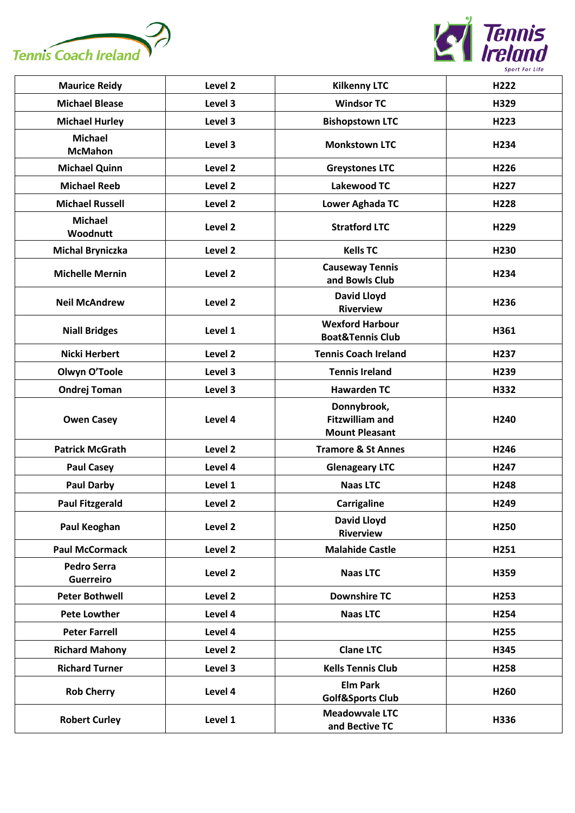



| <b>Maurice Reidy</b>                   | Level 2 | <b>Kilkenny LTC</b>                                            | H222             |
|----------------------------------------|---------|----------------------------------------------------------------|------------------|
| <b>Michael Blease</b>                  | Level 3 | <b>Windsor TC</b>                                              | H329             |
| <b>Michael Hurley</b>                  | Level 3 | <b>Bishopstown LTC</b>                                         | H223             |
| <b>Michael</b><br><b>McMahon</b>       | Level 3 | <b>Monkstown LTC</b>                                           | H <sub>234</sub> |
| <b>Michael Quinn</b>                   | Level 2 | <b>Greystones LTC</b>                                          | H <sub>226</sub> |
| <b>Michael Reeb</b>                    | Level 2 | <b>Lakewood TC</b>                                             | H <sub>227</sub> |
| <b>Michael Russell</b>                 | Level 2 | <b>Lower Aghada TC</b>                                         | H228             |
| <b>Michael</b><br>Woodnutt             | Level 2 | <b>Stratford LTC</b>                                           | H229             |
| <b>Michal Bryniczka</b>                | Level 2 | <b>Kells TC</b>                                                | H230             |
| <b>Michelle Mernin</b>                 | Level 2 | <b>Causeway Tennis</b><br>and Bowls Club                       | H234             |
| <b>Neil McAndrew</b>                   | Level 2 | <b>David Lloyd</b><br><b>Riverview</b>                         | H236             |
| <b>Niall Bridges</b>                   | Level 1 | <b>Wexford Harbour</b><br><b>Boat&amp;Tennis Club</b>          | H361             |
| <b>Nicki Herbert</b>                   | Level 2 | <b>Tennis Coach Ireland</b>                                    | H237             |
| Olwyn O'Toole                          | Level 3 | <b>Tennis Ireland</b>                                          | H239             |
| <b>Ondrej Toman</b>                    | Level 3 | <b>Hawarden TC</b>                                             | H332             |
| <b>Owen Casey</b>                      | Level 4 | Donnybrook,<br><b>Fitzwilliam and</b><br><b>Mount Pleasant</b> | H <sub>240</sub> |
| <b>Patrick McGrath</b>                 | Level 2 | <b>Tramore &amp; St Annes</b>                                  | H246             |
| <b>Paul Casey</b>                      | Level 4 | <b>Glenageary LTC</b>                                          | H <sub>247</sub> |
| <b>Paul Darby</b>                      | Level 1 | <b>Naas LTC</b>                                                | H248             |
| <b>Paul Fitzgerald</b>                 | Level 2 | Carrigaline                                                    | H249             |
| Paul Keoghan                           | Level 2 | <b>David Lloyd</b><br><b>Riverview</b>                         | H <sub>250</sub> |
| <b>Paul McCormack</b>                  | Level 2 | <b>Malahide Castle</b>                                         | H251             |
| <b>Pedro Serra</b><br><b>Guerreiro</b> | Level 2 | <b>Naas LTC</b>                                                | H359             |
| <b>Peter Bothwell</b>                  | Level 2 | <b>Downshire TC</b>                                            | H <sub>253</sub> |
| <b>Pete Lowther</b>                    | Level 4 | <b>Naas LTC</b>                                                | H254             |
| <b>Peter Farrell</b>                   | Level 4 |                                                                | H255             |
| <b>Richard Mahony</b>                  | Level 2 | <b>Clane LTC</b>                                               | H345             |
| <b>Richard Turner</b>                  | Level 3 | <b>Kells Tennis Club</b>                                       | H258             |
| <b>Rob Cherry</b>                      | Level 4 | <b>Elm Park</b><br><b>Golf&amp;Sports Club</b>                 | H <sub>260</sub> |
| <b>Robert Curley</b>                   | Level 1 | <b>Meadowvale LTC</b><br>and Bective TC                        | H336             |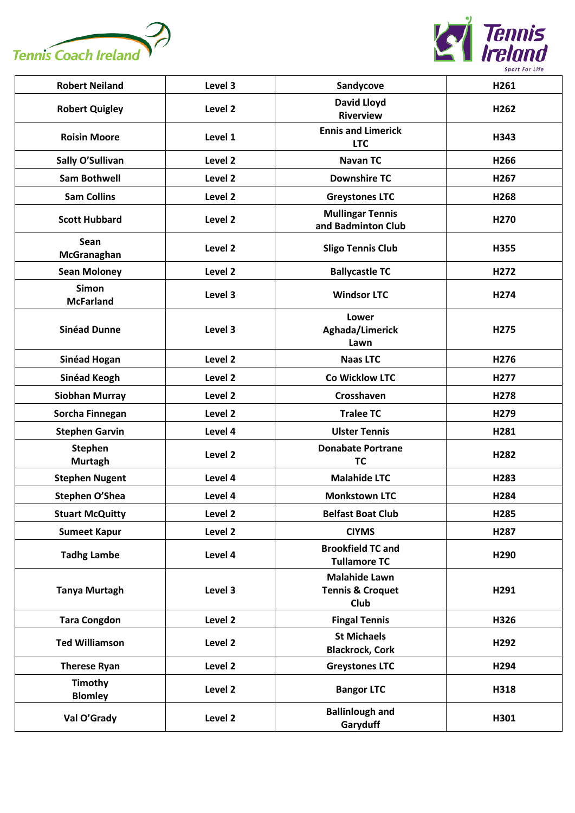



| <b>Robert Neiland</b>            | Level 3 | Sandycove                                                   | H261             |
|----------------------------------|---------|-------------------------------------------------------------|------------------|
| <b>Robert Quigley</b>            | Level 2 | <b>David Lloyd</b><br><b>Riverview</b>                      | H262             |
| <b>Roisin Moore</b>              | Level 1 | <b>Ennis and Limerick</b><br><b>LTC</b>                     | H343             |
| Sally O'Sullivan                 | Level 2 | <b>Navan TC</b>                                             | H266             |
| <b>Sam Bothwell</b>              | Level 2 | <b>Downshire TC</b>                                         | H267             |
| <b>Sam Collins</b>               | Level 2 | <b>Greystones LTC</b>                                       | H268             |
| <b>Scott Hubbard</b>             | Level 2 | <b>Mullingar Tennis</b><br>and Badminton Club               | H270             |
| Sean<br>McGranaghan              | Level 2 | <b>Sligo Tennis Club</b>                                    | H355             |
| <b>Sean Moloney</b>              | Level 2 | <b>Ballycastle TC</b>                                       | H272             |
| <b>Simon</b><br><b>McFarland</b> | Level 3 | <b>Windsor LTC</b>                                          | H274             |
| <b>Sinéad Dunne</b>              | Level 3 | Lower<br>Aghada/Limerick<br>Lawn                            | H275             |
| Sinéad Hogan                     | Level 2 | <b>Naas LTC</b>                                             | H276             |
| Sinéad Keogh                     | Level 2 | Co Wicklow LTC                                              | H277             |
| <b>Siobhan Murray</b>            | Level 2 | Crosshaven                                                  | H <sub>278</sub> |
| Sorcha Finnegan                  | Level 2 | <b>Tralee TC</b>                                            | H279             |
| <b>Stephen Garvin</b>            | Level 4 | <b>Ulster Tennis</b>                                        | H281             |
| <b>Stephen</b><br><b>Murtagh</b> | Level 2 | <b>Donabate Portrane</b><br><b>TC</b>                       | H282             |
| <b>Stephen Nugent</b>            | Level 4 | <b>Malahide LTC</b>                                         | H283             |
| Stephen O'Shea                   | Level 4 | <b>Monkstown LTC</b>                                        | H284             |
| <b>Stuart McQuitty</b>           | Level 2 | <b>Belfast Boat Club</b>                                    | H285             |
| <b>Sumeet Kapur</b>              | Level 2 | <b>CIYMS</b>                                                | H287             |
| <b>Tadhg Lambe</b>               | Level 4 | <b>Brookfield TC and</b><br><b>Tullamore TC</b>             | H290             |
| <b>Tanya Murtagh</b>             | Level 3 | <b>Malahide Lawn</b><br><b>Tennis &amp; Croquet</b><br>Club | H291             |
| <b>Tara Congdon</b>              | Level 2 | <b>Fingal Tennis</b>                                        | H326             |
| <b>Ted Williamson</b>            | Level 2 | <b>St Michaels</b><br><b>Blackrock, Cork</b>                | H <sub>292</sub> |
| <b>Therese Ryan</b>              | Level 2 | <b>Greystones LTC</b>                                       | H294             |
| <b>Timothy</b><br><b>Blomley</b> | Level 2 | <b>Bangor LTC</b>                                           | H318             |
| Val O'Grady                      | Level 2 | <b>Ballinlough and</b><br>Garyduff                          | H301             |